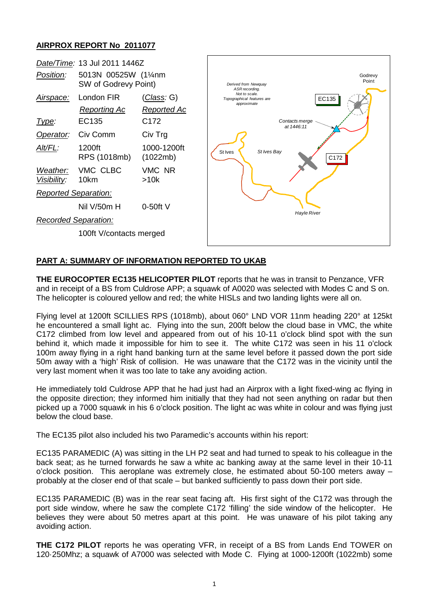## **AIRPROX REPORT No 2011077**



## **PART A: SUMMARY OF INFORMATION REPORTED TO UKAB**

**THE EUROCOPTER EC135 HELICOPTER PILOT** reports that he was in transit to Penzance, VFR and in receipt of a BS from Culdrose APP; a squawk of A0020 was selected with Modes C and S on. The helicopter is coloured yellow and red; the white HISLs and two landing lights were all on.

Flying level at 1200ft SCILLIES RPS (1018mb), about 060° LND VOR 11nm heading 220° at 125kt he encountered a small light ac. Flying into the sun, 200ft below the cloud base in VMC, the white C172 climbed from low level and appeared from out of his 10-11 o'clock blind spot with the sun behind it, which made it impossible for him to see it. The white C172 was seen in his 11 o'clock 100m away flying in a right hand banking turn at the same level before it passed down the port side 50m away with a 'high' Risk of collision. He was unaware that the C172 was in the vicinity until the very last moment when it was too late to take any avoiding action.

He immediately told Culdrose APP that he had just had an Airprox with a light fixed-wing ac flying in the opposite direction; they informed him initially that they had not seen anything on radar but then picked up a 7000 squawk in his 6 o'clock position. The light ac was white in colour and was flying just below the cloud base.

The EC135 pilot also included his two Paramedic's accounts within his report:

EC135 PARAMEDIC (A) was sitting in the LH P2 seat and had turned to speak to his colleague in the back seat; as he turned forwards he saw a white ac banking away at the same level in their 10-11 o'clock position. This aeroplane was extremely close, he estimated about 50-100 meters away – probably at the closer end of that scale – but banked sufficiently to pass down their port side.

EC135 PARAMEDIC (B) was in the rear seat facing aft. His first sight of the C172 was through the port side window, where he saw the complete C172 'filling' the side window of the helicopter. He believes they were about 50 metres apart at this point. He was unaware of his pilot taking any avoiding action.

**THE C172 PILOT** reports he was operating VFR, in receipt of a BS from Lands End TOWER on 120·250Mhz; a squawk of A7000 was selected with Mode C. Flying at 1000-1200ft (1022mb) some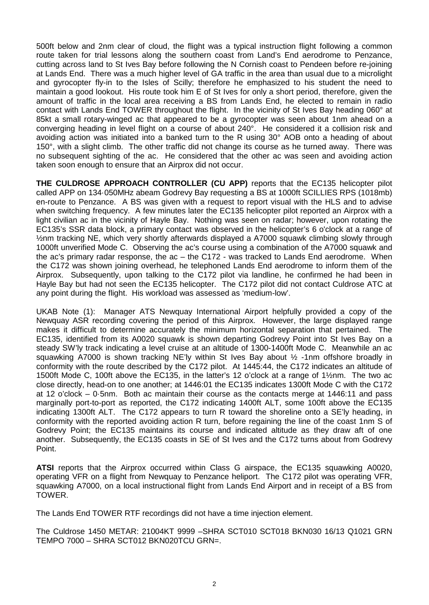500ft below and 2nm clear of cloud, the flight was a typical instruction flight following a common route taken for trial lessons along the southern coast from Land's End aerodrome to Penzance, cutting across land to St Ives Bay before following the N Cornish coast to Pendeen before re-joining at Lands End. There was a much higher level of GA traffic in the area than usual due to a microlight and gyrocopter fly-in to the Isles of Scilly; therefore he emphasized to his student the need to maintain a good lookout. His route took him E of St Ives for only a short period, therefore, given the amount of traffic in the local area receiving a BS from Lands End, he elected to remain in radio contact with Lands End TOWER throughout the flight. In the vicinity of St Ives Bay heading 060° at 85kt a small rotary-winged ac that appeared to be a gyrocopter was seen about 1nm ahead on a converging heading in level flight on a course of about 240°. He considered it a collision risk and avoiding action was initiated into a banked turn to the R using 30° AOB onto a heading of about 150°, with a slight climb. The other traffic did not change its course as he turned away. There was no subsequent sighting of the ac. He considered that the other ac was seen and avoiding action taken soon enough to ensure that an Airprox did not occur.

**THE CULDROSE APPROACH CONTROLLER (CU APP)** reports that the EC135 helicopter pilot called APP on 134·050MHz abeam Godrevy Bay requesting a BS at 1000ft SCILLIES RPS (1018mb) en-route to Penzance. A BS was given with a request to report visual with the HLS and to advise when switching frequency. A few minutes later the EC135 helicopter pilot reported an Airprox with a light civilian ac in the vicinity of Hayle Bay. Nothing was seen on radar; however, upon rotating the EC135's SSR data block, a primary contact was observed in the helicopter's 6 o'clock at a range of ½nm tracking NE, which very shortly afterwards displayed a A7000 squawk climbing slowly through 1000ft unverified Mode C. Observing the ac's course using a combination of the A7000 squawk and the ac's primary radar response, the ac – the C172 - was tracked to Lands End aerodrome. When the C172 was shown joining overhead, he telephoned Lands End aerodrome to inform them of the Airprox. Subsequently, upon talking to the C172 pilot via landline, he confirmed he had been in Hayle Bay but had not seen the EC135 helicopter. The C172 pilot did not contact Culdrose ATC at any point during the flight. His workload was assessed as 'medium-low'.

UKAB Note (1): Manager ATS Newquay International Airport helpfully provided a copy of the Newquay ASR recording covering the period of this Airprox. However, the large displayed range makes it difficult to determine accurately the minimum horizontal separation that pertained. The EC135, identified from its A0020 squawk is shown departing Godrevy Point into St Ives Bay on a steady SW'ly track indicating a level cruise at an altitude of 1300-1400ft Mode C. Meanwhile an ac squawking A7000 is shown tracking NE'ly within St Ives Bay about ½ -1nm offshore broadly in conformity with the route described by the C172 pilot. At 1445:44, the C172 indicates an altitude of 1500ft Mode C, 100ft above the EC135, in the latter's 12 o'clock at a range of 1½nm. The two ac close directly, head-on to one another; at 1446:01 the EC135 indicates 1300ft Mode C with the C172 at 12 o'clock – 0·5nm. Both ac maintain their course as the contacts merge at 1446:11 and pass marginally port-to-port as reported, the C172 indicating 1400ft ALT, some 100ft above the EC135 indicating 1300ft ALT. The C172 appears to turn R toward the shoreline onto a SE'ly heading, in conformity with the reported avoiding action R turn, before regaining the line of the coast 1nm S of Godrevy Point; the EC135 maintains its course and indicated altitude as they draw aft of one another. Subsequently, the EC135 coasts in SE of St Ives and the C172 turns about from Godrevy Point.

**ATSI** reports that the Airprox occurred within Class G airspace, the EC135 squawking A0020, operating VFR on a flight from Newquay to Penzance heliport. The C172 pilot was operating VFR, squawking A7000, on a local instructional flight from Lands End Airport and in receipt of a BS from TOWER.

The Lands End TOWER RTF recordings did not have a time injection element.

The Culdrose 1450 METAR: 21004KT 9999 –SHRA SCT010 SCT018 BKN030 16/13 Q1021 GRN TEMPO 7000 – SHRA SCT012 BKN020TCU GRN=.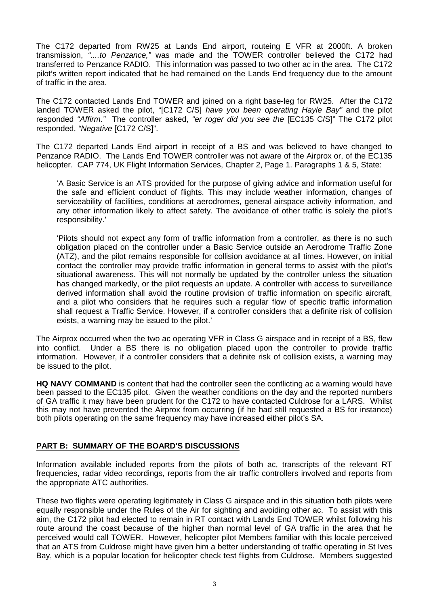The C172 departed from RW25 at Lands End airport, routeing E VFR at 2000ft. A broken transmission, *"....to Penzance,"* was made and the TOWER controller believed the C172 had transferred to Penzance RADIO. This information was passed to two other ac in the area. The C172 pilot's written report indicated that he had remained on the Lands End frequency due to the amount of traffic in the area.

The C172 contacted Lands End TOWER and joined on a right base-leg for RW25. After the C172 landed TOWER asked the pilot, "[C172 C/S] *have you been operating Hayle Bay"* and the pilot responded *"Affirm."* The controller asked, *"er roger did you see the* [EC135 C/S]" The C172 pilot responded, *"Negative* [C172 C/S]".

The C172 departed Lands End airport in receipt of a BS and was believed to have changed to Penzance RADIO. The Lands End TOWER controller was not aware of the Airprox or, of the EC135 helicopter. CAP 774, UK Flight Information Services, Chapter 2, Page 1. Paragraphs 1 & 5, State:

'A Basic Service is an ATS provided for the purpose of giving advice and information useful for the safe and efficient conduct of flights. This may include weather information, changes of serviceability of facilities, conditions at aerodromes, general airspace activity information, and any other information likely to affect safety. The avoidance of other traffic is solely the pilot's responsibility.'

'Pilots should not expect any form of traffic information from a controller, as there is no such obligation placed on the controller under a Basic Service outside an Aerodrome Traffic Zone (ATZ), and the pilot remains responsible for collision avoidance at all times. However, on initial contact the controller may provide traffic information in general terms to assist with the pilot's situational awareness. This will not normally be updated by the controller unless the situation has changed markedly, or the pilot requests an update. A controller with access to surveillance derived information shall avoid the routine provision of traffic information on specific aircraft, and a pilot who considers that he requires such a regular flow of specific traffic information shall request a Traffic Service. However, if a controller considers that a definite risk of collision exists, a warning may be issued to the pilot.'

The Airprox occurred when the two ac operating VFR in Class G airspace and in receipt of a BS, flew into conflict. Under a BS there is no obligation placed upon the controller to provide traffic information. However, if a controller considers that a definite risk of collision exists, a warning may be issued to the pilot.

**HQ NAVY COMMAND** is content that had the controller seen the conflicting ac a warning would have been passed to the EC135 pilot. Given the weather conditions on the day and the reported numbers of GA traffic it may have been prudent for the C172 to have contacted Culdrose for a LARS. Whilst this may not have prevented the Airprox from occurring (if he had still requested a BS for instance) both pilots operating on the same frequency may have increased either pilot's SA.

## **PART B: SUMMARY OF THE BOARD'S DISCUSSIONS**

Information available included reports from the pilots of both ac, transcripts of the relevant RT frequencies, radar video recordings, reports from the air traffic controllers involved and reports from the appropriate ATC authorities.

These two flights were operating legitimately in Class G airspace and in this situation both pilots were equally responsible under the Rules of the Air for sighting and avoiding other ac. To assist with this aim, the C172 pilot had elected to remain in RT contact with Lands End TOWER whilst following his route around the coast because of the higher than normal level of GA traffic in the area that he perceived would call TOWER. However, helicopter pilot Members familiar with this locale perceived that an ATS from Culdrose might have given him a better understanding of traffic operating in St Ives Bay, which is a popular location for helicopter check test flights from Culdrose. Members suggested